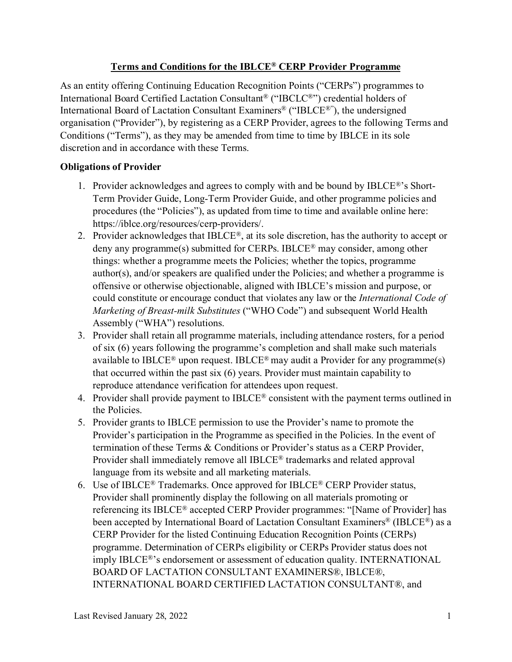# **Terms and Conditions for the IBLCE® CERP Provider Programme**

As an entity offering Continuing Education Recognition Points ("CERPs") programmes to International Board Certified Lactation Consultant® ("IBCLC®") credential holders of International Board of Lactation Consultant Examiners® ("IBLCE®"), the undersigned organisation ("Provider"), by registering as a CERP Provider, agrees to the following Terms and Conditions ("Terms"), as they may be amended from time to time by IBLCE in its sole discretion and in accordance with these Terms.

## **Obligations of Provider**

- 1. Provider acknowledges and agrees to comply with and be bound by IBLCE®'s Short-Term Provider Guide, Long-Term Provider Guide, and other programme policies and procedures (the "Policies"), as updated from time to time and available online here: https://iblce.org/resources/cerp-providers/.
- 2. Provider acknowledges that IBLCE®, at its sole discretion, has the authority to accept or deny any programme(s) submitted for CERPs. IBLCE® may consider, among other things: whether a programme meets the Policies; whether the topics, programme author(s), and/or speakers are qualified under the Policies; and whether a programme is offensive or otherwise objectionable, aligned with IBLCE's mission and purpose, or could constitute or encourage conduct that violates any law or the *International Code of Marketing of Breast-milk Substitutes* ("WHO Code") and subsequent World Health Assembly ("WHA") resolutions.
- 3. Provider shall retain all programme materials, including attendance rosters, for a period of six (6) years following the programme's completion and shall make such materials available to IBLCE<sup>®</sup> upon request. IBLCE<sup>®</sup> may audit a Provider for any programme(s) that occurred within the past six (6) years. Provider must maintain capability to reproduce attendance verification for attendees upon request.
- 4. Provider shall provide payment to IBLCE® consistent with the payment terms outlined in the Policies.
- 5. Provider grants to IBLCE permission to use the Provider's name to promote the Provider's participation in the Programme as specified in the Policies. In the event of termination of these Terms & Conditions or Provider's status as a CERP Provider, Provider shall immediately remove all IBLCE® trademarks and related approval language from its website and all marketing materials.
- 6. Use of IBLCE® Trademarks. Once approved for IBLCE® CERP Provider status, Provider shall prominently display the following on all materials promoting or referencing its IBLCE® accepted CERP Provider programmes: "[Name of Provider] has been accepted by International Board of Lactation Consultant Examiners® (IBLCE®) as a CERP Provider for the listed Continuing Education Recognition Points (CERPs) programme. Determination of CERPs eligibility or CERPs Provider status does not imply IBLCE®'s endorsement or assessment of education quality. INTERNATIONAL BOARD OF LACTATION CONSULTANT EXAMINERS®, IBLCE®, INTERNATIONAL BOARD CERTIFIED LACTATION CONSULTANT®, and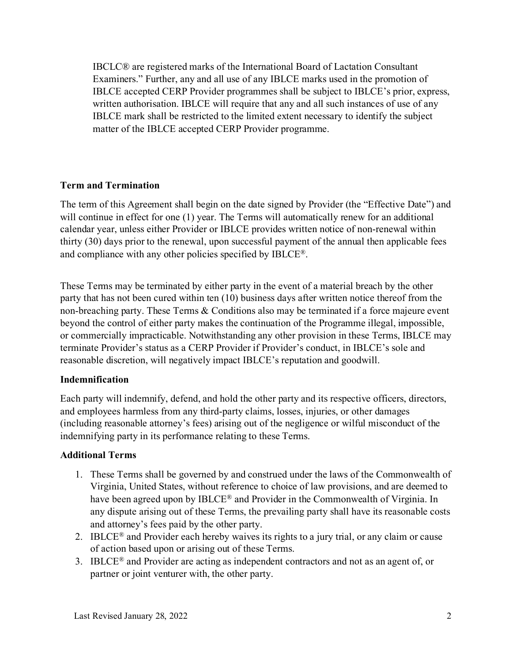IBCLC® are registered marks of the International Board of Lactation Consultant Examiners." Further, any and all use of any IBLCE marks used in the promotion of IBLCE accepted CERP Provider programmes shall be subject to IBLCE's prior, express, written authorisation. IBLCE will require that any and all such instances of use of any IBLCE mark shall be restricted to the limited extent necessary to identify the subject matter of the IBLCE accepted CERP Provider programme.

### **Term and Termination**

The term of this Agreement shall begin on the date signed by Provider (the "Effective Date") and will continue in effect for one (1) year. The Terms will automatically renew for an additional calendar year, unless either Provider or IBLCE provides written notice of non-renewal within thirty (30) days prior to the renewal, upon successful payment of the annual then applicable fees and compliance with any other policies specified by IBLCE®.

These Terms may be terminated by either party in the event of a material breach by the other party that has not been cured within ten (10) business days after written notice thereof from the non-breaching party. These Terms & Conditions also may be terminated if a force majeure event beyond the control of either party makes the continuation of the Programme illegal, impossible, or commercially impracticable. Notwithstanding any other provision in these Terms, IBLCE may terminate Provider's status as a CERP Provider if Provider's conduct, in IBLCE's sole and reasonable discretion, will negatively impact IBLCE's reputation and goodwill.

### **Indemnification**

Each party will indemnify, defend, and hold the other party and its respective officers, directors, and employees harmless from any third-party claims, losses, injuries, or other damages (including reasonable attorney's fees) arising out of the negligence or wilful misconduct of the indemnifying party in its performance relating to these Terms.

### **Additional Terms**

- 1. These Terms shall be governed by and construed under the laws of the Commonwealth of Virginia, United States, without reference to choice of law provisions, and are deemed to have been agreed upon by IBLCE® and Provider in the Commonwealth of Virginia. In any dispute arising out of these Terms, the prevailing party shall have its reasonable costs and attorney's fees paid by the other party.
- 2. IBLCE<sup>®</sup> and Provider each hereby waives its rights to a jury trial, or any claim or cause of action based upon or arising out of these Terms.
- 3. IBLCE<sup>®</sup> and Provider are acting as independent contractors and not as an agent of, or partner or joint venturer with, the other party.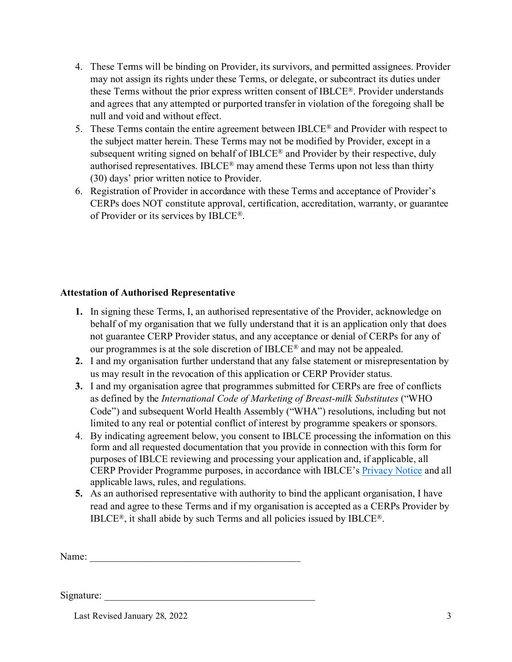- 4. These Terms will be binding on Provider, its survivors, and permitted assignees. Provider may not assign its rights under these Terms, or delegate, or subcontract its duties under these Terms without the prior express written consent of IBLCE®. Provider understands and agrees that any attempted or purported transfer in violation of the foregoing shall be null and void and without effect.
- 5. These Terms contain the entire agreement between IBLCE<sup>®</sup> and Provider with respect to the subject matter herein. These Terms may not be modified by Provider, except in a subsequent writing signed on behalf of IBLCE® and Provider by their respective, duly authorised representatives. IBLCE® may amend these Terms upon not less than thirty (30) days' prior written notice to Provider.
- 6. Registration of Provider in accordance with these Terms and acceptance of Provider's CERPs does NOT constitute approval, certification, accreditation, warranty, or guarantee of Provider or its services by IBLCE®.

## **Attestation of Authorised Representative**

- **1.** In signing these Terms, I, an authorised representative of the Provider, acknowledge on behalf of my organisation that we fully understand that it is an application only that does not guarantee CERP Provider status, and any acceptance or denial of CERPs for any of our programmes is at the sole discretion of IBLCE® and may not be appealed.
- **2.** I and my organisation further understand that any false statement or misrepresentation by us may result in the revocation of this application or CERP Provider status.
- **3.** I and my organisation agree that programmes submitted for CERPs are free of conflicts as defined by the *International Code of Marketing of Breast-milk Substitutes* ("WHO Code") and subsequent World Health Assembly ("WHA") resolutions, including but not limited to any real or potential conflict of interest by programme speakers or sponsors.
- 4. By indicating agreement below, you consent to IBLCE processing the information on this form and all requested documentation that you provide in connection with this form for purposes of IBLCE reviewing and processing your application and, if applicable, all CERP Provider Programme purposes, in accordance with IBLCE's [Privacy Notice](https://iblce.org/privacy-notice/) and all applicable laws, rules, and regulations.
- **5.** As an authorised representative with authority to bind the applicant organisation, I have read and agree to these Terms and if my organisation is accepted as a CERPs Provider by IBLCE®, it shall abide by such Terms and all policies issued by IBLCE®.

Name:

Signature:

Last Revised January 28, 2022 3